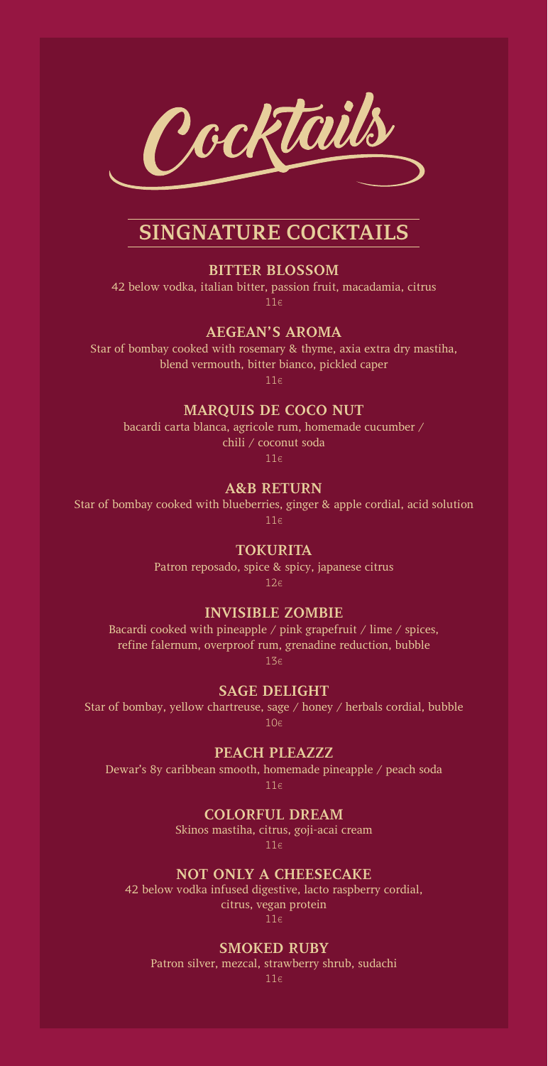

# **SINGNATURE COCKTAILS**

#### **BITTER BLOSSOM**

42 below vodka, italian bitter, passion fruit, macadamia, citrus 11€

### **AEGEAN'S AROMA**

Star of bombay cooked with rosemary & thyme, axia extra dry mastiha, blend vermouth, bitter bianco, pickled caper

11€

## **MARQUIS DE COCO NUT**

bacardi carta blanca, agricole rum, homemade cucumber / chili / coconut soda

11€

#### **A&B RETURN**

Star of bombay cooked with blueberries, ginger & apple cordial, acid solution 11€

**TOKURITA**

Patron reposado, spice & spicy, japanese citrus 12€

## **INVISIBLE ZOMBIE**

Bacardi cooked with pineapple / pink grapefruit / lime / spices, refine falernum, overproof rum, grenadine reduction, bubble 13€

### **SAGE DELIGHT**

Star of bombay, yellow chartreuse, sage / honey / herbals cordial, bubble  $10<sub>ε</sub>$ 

#### **PEACH PLEAZZZ**

Dewar's 8y caribbean smooth, homemade pineapple / peach soda

11€

#### **COLORFUL DREAM**

Skinos mastiha, citrus, goji-acai cream 11€

#### **NOT ONLY A CHEESECAKE**

42 below vodka infused digestive, lacto raspberry cordial, citrus, vegan protein 11€

### **SMOKED RUBY**

Patron silver, mezcal, strawberry shrub, sudachi

11€